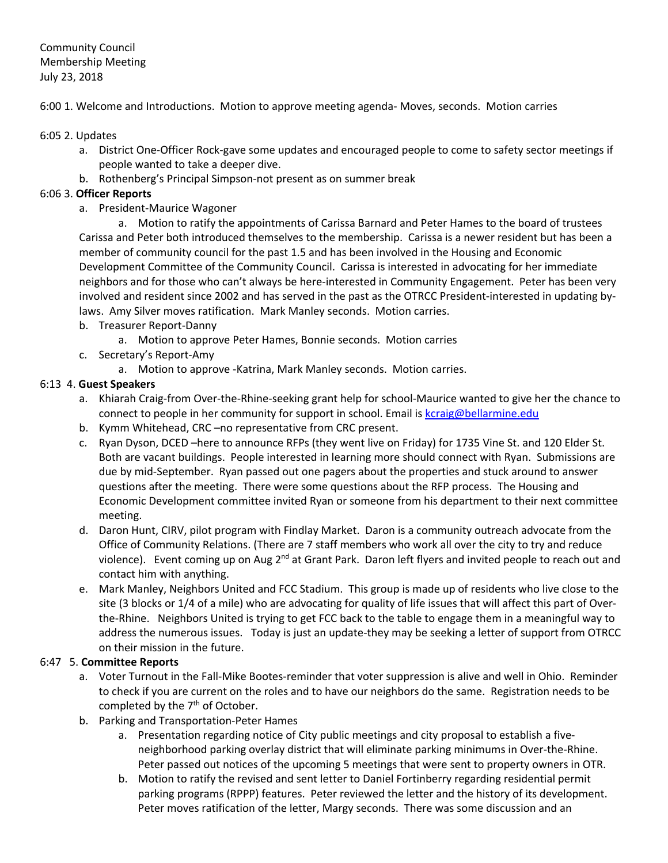# Community Council Membership Meeting July 23, 2018

6:00 1. Welcome and Introductions. Motion to approve meeting agenda- Moves, seconds. Motion carries

#### 6:05 2. Updates

- a. District One-Officer Rock-gave some updates and encouraged people to come to safety sector meetings if people wanted to take a deeper dive.
- b. Rothenberg's Principal Simpson-not present as on summer break

### 6:06 3. **Officer Reports**

a. President-Maurice Wagoner

a. Motion to ratify the appointments of Carissa Barnard and Peter Hames to the board of trustees Carissa and Peter both introduced themselves to the membership. Carissa is a newer resident but has been a member of community council for the past 1.5 and has been involved in the Housing and Economic Development Committee of the Community Council. Carissa is interested in advocating for her immediate neighbors and for those who can't always be here-interested in Community Engagement. Peter has been very involved and resident since 2002 and has served in the past as the OTRCC President-interested in updating bylaws. Amy Silver moves ratification. Mark Manley seconds. Motion carries.

- b. Treasurer Report-Danny
	- a. Motion to approve Peter Hames, Bonnie seconds. Motion carries
- c. Secretary's Report-Amy
	- a. Motion to approve -Katrina, Mark Manley seconds. Motion carries.

## 6:13 4. **Guest Speakers**

- a. Khiarah Craig-from Over-the-Rhine-seeking grant help for school-Maurice wanted to give her the chance to connect to people in her community for support in school. Email is kcraig@bellarmine.edu
- b. Kymm Whitehead, CRC –no representative from CRC present.
- c. Ryan Dyson, DCED –here to announce RFPs (they went live on Friday) for 1735 Vine St. and 120 Elder St. Both are vacant buildings. People interested in learning more should connect with Ryan. Submissions are due by mid-September. Ryan passed out one pagers about the properties and stuck around to answer questions after the meeting. There were some questions about the RFP process. The Housing and Economic Development committee invited Ryan or someone from his department to their next committee meeting.
- d. Daron Hunt, CIRV, pilot program with Findlay Market. Daron is a community outreach advocate from the Office of Community Relations. (There are 7 staff members who work all over the city to try and reduce violence). Event coming up on Aug 2<sup>nd</sup> at Grant Park. Daron left flyers and invited people to reach out and contact him with anything.
- e. Mark Manley, Neighbors United and FCC Stadium. This group is made up of residents who live close to the site (3 blocks or 1/4 of a mile) who are advocating for quality of life issues that will affect this part of Overthe-Rhine. Neighbors United is trying to get FCC back to the table to engage them in a meaningful way to address the numerous issues. Today is just an update-they may be seeking a letter of support from OTRCC on their mission in the future.

### 6:47 5. **Committee Reports**

- a. Voter Turnout in the Fall-Mike Bootes-reminder that voter suppression is alive and well in Ohio. Reminder to check if you are current on the roles and to have our neighbors do the same. Registration needs to be completed by the  $7<sup>th</sup>$  of October.
- b. Parking and Transportation-Peter Hames
	- a. Presentation regarding notice of City public meetings and city proposal to establish a fiveneighborhood parking overlay district that will eliminate parking minimums in Over-the-Rhine. Peter passed out notices of the upcoming 5 meetings that were sent to property owners in OTR.
	- b. Motion to ratify the revised and sent letter to Daniel Fortinberry regarding residential permit parking programs (RPPP) features. Peter reviewed the letter and the history of its development. Peter moves ratification of the letter, Margy seconds. There was some discussion and an